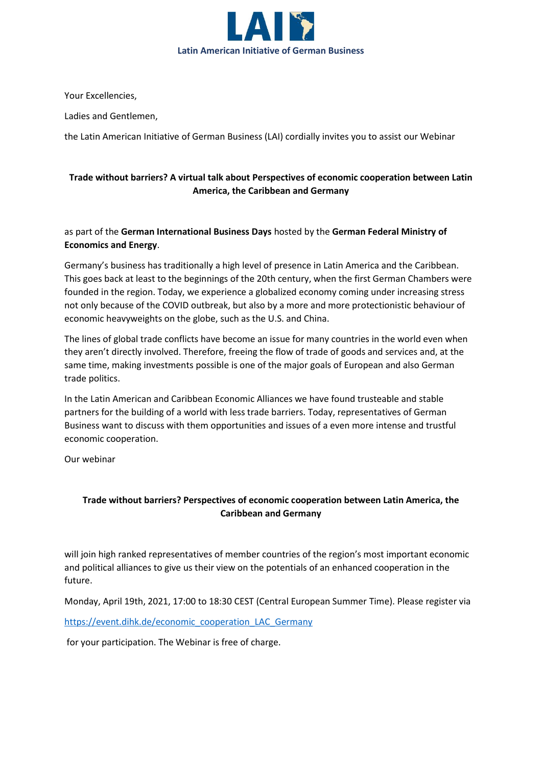

Your Excellencies,

Ladies and Gentlemen,

the Latin American Initiative of German Business (LAI) cordially invites you to assist our Webinar

## **Trade without barriers? A virtual talk about Perspectives of economic cooperation between Latin America, the Caribbean and Germany**

as part of the **German International Business Days** hosted by the **German Federal Ministry of Economics and Energy**.

Germany's business has traditionally a high level of presence in Latin America and the Caribbean. This goes back at least to the beginnings of the 20th century, when the first German Chambers were founded in the region. Today, we experience a globalized economy coming under increasing stress not only because of the COVID outbreak, but also by a more and more protectionistic behaviour of economic heavyweights on the globe, such as the U.S. and China.

The lines of global trade conflicts have become an issue for many countries in the world even when they aren't directly involved. Therefore, freeing the flow of trade of goods and services and, at the same time, making investments possible is one of the major goals of European and also German trade politics.

In the Latin American and Caribbean Economic Alliances we have found trusteable and stable partners for the building of a world with less trade barriers. Today, representatives of German Business want to discuss with them opportunities and issues of a even more intense and trustful economic cooperation.

Our webinar

## **Trade without barriers? Perspectives of economic cooperation between Latin America, the Caribbean and Germany**

will join high ranked representatives of member countries of the region's most important economic and political alliances to give us their view on the potentials of an enhanced cooperation in the future.

Monday, April 19th, 2021, 17:00 to 18:30 CEST (Central European Summer Time). Please register via [https://event.dihk.de/economic\\_cooperation\\_LAC\\_Germany](https://event.dihk.de/economic_cooperation_LAC_Germany)

for your participation. The Webinar is free of charge.